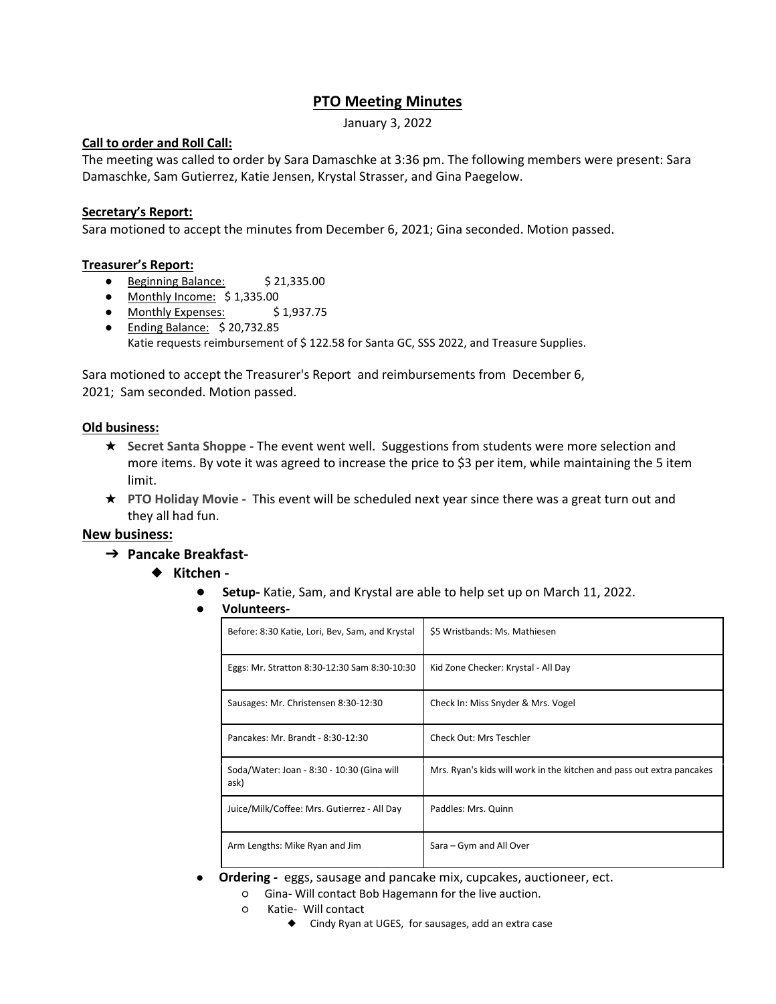# **PTO Meeting Minutes**

January 3, 2022

### **Call to order and Roll Call:**

The meeting was called to order by Sara Damaschke at 3:36 pm. The following members were present: Sara Damaschke, Sam Gutierrez, Katie Jensen, Krystal Strasser, and Gina Paegelow.

#### **Secretary's Report:**

Sara motioned to accept the minutes from December 6, 2021; Gina seconded. Motion passed.

#### **Treasurer's Report:**

- Beginning Balance: \$21,335.00
- Monthly Income: \$1,335.00
- Monthly Expenses: \$1,937.75
- Ending Balance: \$20,732.85 Katie requests reimbursement of \$122.58 for Santa GC, SSS 2022, and Treasure Supplies.

Sara motioned to accept the Treasurer's Report and reimbursements from December 6, 2021; Sam seconded. Motion passed.

#### **Old business:**

- ★ **Secret Santa Shoppe -** The event went well. Suggestions from students were more selection and more items. By vote it was agreed to increase the price to \$3 per item, while maintaining the 5 item limit.
- ★ **PTO Holiday Movie -** This event will be scheduled next year since there was a great turn out and they all had fun.

## **New business:**

- ➔ **Pancake Breakfast-**
	- ◆ **Kitchen -**
		- **Setup-** Katie, Sam, and Krystal are able to help set up on March 11, 2022.
		- **Volunteers-**

| Before: 8:30 Katie, Lori, Bev, Sam, and Krystal    | \$5 Wristbands: Ms. Mathiesen                                         |
|----------------------------------------------------|-----------------------------------------------------------------------|
| Eggs: Mr. Stratton 8:30-12:30 Sam 8:30-10:30       | Kid Zone Checker: Krystal - All Day                                   |
| Sausages: Mr. Christensen 8:30-12:30               | Check In: Miss Snyder & Mrs. Vogel                                    |
| Pancakes: Mr. Brandt - 8:30-12:30                  | Check Out: Mrs Teschler                                               |
| Soda/Water: Joan - 8:30 - 10:30 (Gina will<br>ask) | Mrs. Ryan's kids will work in the kitchen and pass out extra pancakes |
| Juice/Milk/Coffee: Mrs. Gutierrez - All Day        | Paddles: Mrs. Quinn                                                   |
| Arm Lengths: Mike Ryan and Jim                     | Sara – Gym and All Over                                               |

- **Ordering -** eggs, sausage and pancake mix, cupcakes, auctioneer, ect.
	- Gina- Will contact Bob Hagemann for the live auction.
	- Katie- Will contact
		- ◆ Cindy Ryan at UGES, for sausages, add an extra case